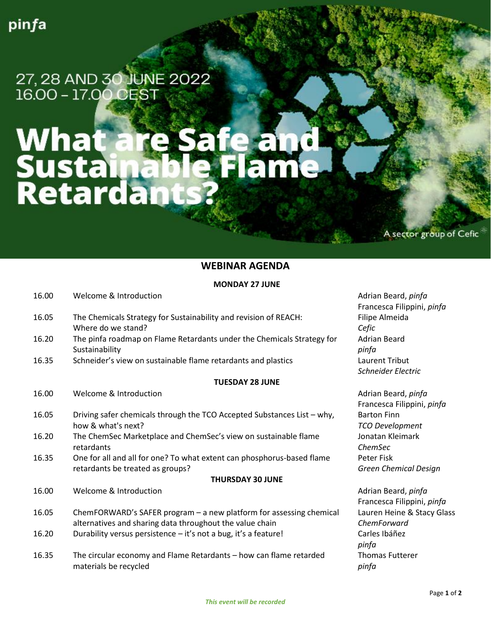27, 28 AND 30 JUNE 2022

# What are Safe and<br>Sustainable Flame<br>Retardants?

A sector group of Cefic

# **WEBINAR AGENDA**

### **MONDAY 27 JUNE**

| 16.00                   | Welcome & Introduction                                                  | Adrian Beard, pinfa          |
|-------------------------|-------------------------------------------------------------------------|------------------------------|
|                         |                                                                         | Francesca Filippini, pinfa   |
| 16.05                   | The Chemicals Strategy for Sustainability and revision of REACH:        | Filipe Almeida               |
|                         | Where do we stand?                                                      | Cefic                        |
| 16.20                   | The pinfa roadmap on Flame Retardants under the Chemicals Strategy for  | <b>Adrian Beard</b>          |
|                         | Sustainability                                                          | pinfa                        |
| 16.35                   | Schneider's view on sustainable flame retardants and plastics           | Laurent Tribut               |
|                         |                                                                         | Schneider Electric           |
| <b>TUESDAY 28 JUNE</b>  |                                                                         |                              |
| 16.00                   | Welcome & Introduction                                                  | Adrian Beard, pinfa          |
|                         |                                                                         | Francesca Filippini, pinfa   |
| 16.05                   | Driving safer chemicals through the TCO Accepted Substances List - why, | <b>Barton Finn</b>           |
|                         | how & what's next?                                                      | <b>TCO Development</b>       |
| 16.20                   | The ChemSec Marketplace and ChemSec's view on sustainable flame         | Jonatan Kleimark             |
|                         | retardants                                                              | ChemSec                      |
| 16.35                   | One for all and all for one? To what extent can phosphorus-based flame  | Peter Fisk                   |
|                         | retardants be treated as groups?                                        | <b>Green Chemical Design</b> |
| <b>THURSDAY 30 JUNE</b> |                                                                         |                              |
| 16.00                   | Welcome & Introduction                                                  | Adrian Beard, pinfa          |
|                         |                                                                         | Francesca Filippini, pinfa   |
| 16.05                   | ChemFORWARD's SAFER program - a new platform for assessing chemical     | Lauren Heine & Stacy Glass   |
|                         | alternatives and sharing data throughout the value chain                | ChemForward                  |
| 16.20                   | Durability versus persistence - it's not a bug, it's a feature!         | Carles Ibáñez                |
|                         |                                                                         | pinfa                        |
| 16.35                   | The circular economy and Flame Retardants - how can flame retarded      | <b>Thomas Futterer</b>       |
|                         | materials be recycled                                                   | pinfa                        |
|                         |                                                                         |                              |